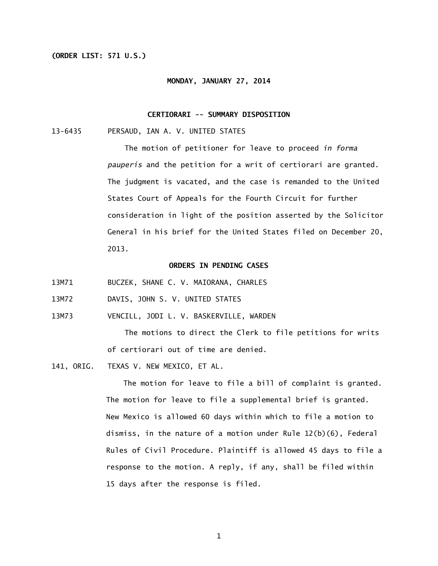#### **(ORDER LIST: 571 U.S.)**

#### **MONDAY, JANUARY 27, 2014**

## **CERTIORARI -- SUMMARY DISPOSITION**

13-6435 PERSAUD, IAN A. V. UNITED STATES

 The motion of petitioner for leave to proceed *in forma pauperis* and the petition for a writ of certiorari are granted. The judgment is vacated, and the case is remanded to the United States Court of Appeals for the Fourth Circuit for further consideration in light of the position asserted by the Solicitor General in his brief for the United States filed on December 20, 2013.

# **ORDERS IN PENDING CASES**

13M71 BUCZEK, SHANE C. V. MAIORANA, CHARLES

13M72 DAVIS, JOHN S. V. UNITED STATES

13M73 VENCILL, JODI L. V. BASKERVILLE, WARDEN

> The motions to direct the Clerk to file petitions for writs of certiorari out of time are denied.

141, ORIG. TEXAS V. NEW MEXICO, ET AL.

> 15 days after the response is filed. The motion for leave to file a bill of complaint is granted. The motion for leave to file a supplemental brief is granted. New Mexico is allowed 60 days within which to file a motion to dismiss, in the nature of a motion under Rule 12(b)(6), Federal Rules of Civil Procedure. Plaintiff is allowed 45 days to file a response to the motion. A reply, if any, shall be filed within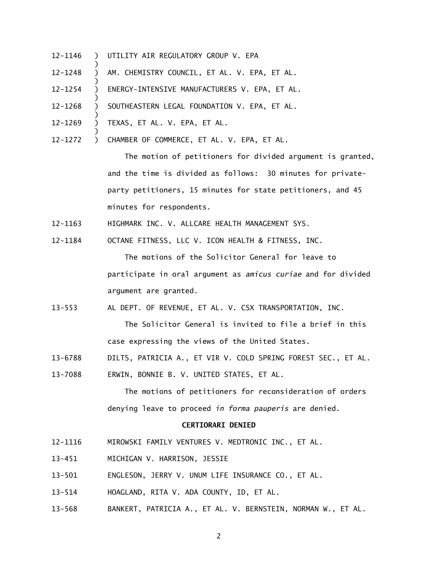- ) ) 12-1146
- ) ) 12-1248 ) UTILITY AIR REGULATORY GROUP V. EPA<br>) AM. CHEMISTRY COUNCIL, ET AL. V. EPA<br>)<br>ENERGY-INTENSIVE MANUFACTURERS V. EP<br>)<br>SOUTHEASTERN LEGAL FOUNDATION V. EPA<br>)<br>) TEXAS, ET AL. V. EPA, ET AL.<br>)<br>CHAMBER OF COMMERCE, ET AL. V. E AM. CHEMISTRY COUNCIL, ET AL. V. EPA, ET AL.
- ) ) 12-1254 ENERGY-INTENSIVE MANUFACTURERS V. EPA, ET AL.
- ) ) 12-1268 SOUTHEASTERN LEGAL FOUNDATION V. EPA, ET AL.
- ) ) 12-1269 TEXAS, ET AL. V. EPA, ET AL.
- CHAMBER OF COMMERCE, ET AL. V. EPA, ET AL. 12-1272

 The motion of petitioners for divided argument is granted, and the time is divided as follows: 30 minutes for privateparty petitioners, 15 minutes for state petitioners, and 45 minutes for respondents.

- 12-1163 HIGHMARK INC. V. ALLCARE HEALTH MANAGEMENT SYS.
- 12-1184 OCTANE FITNESS, LLC V. ICON HEALTH & FITNESS, INC.

 The motions of the Solicitor General for leave to participate in oral argument as *amicus curiae* and for divided argument are granted.

 $13 - 553$ AL DEPT. OF REVENUE, ET AL. V. CSX TRANSPORTATION, INC.

> The Solicitor General is invited to file a brief in this case expressing the views of the United States.

- 13-6788 DILTS, PATRICIA A., ET VIR V. COLD SPRING FOREST SEC., ET AL.
- 13-7088 ERWIN, BONNIE B. V. UNITED STATES, ET AL.

 The motions of petitioners for reconsideration of orders denying leave to proceed *in forma pauperis* are denied.

# **CERTIORARI DENIED**

- 12-1116 MIROWSKI FAMILY VENTURES V. MEDTRONIC INC., ET AL.
- $13 451$ MICHIGAN V. HARRISON, JESSIE
- $13 501$ ENGLESON, JERRY V. UNUM LIFE INSURANCE CO., ET AL.
- $13 514$ 13-514 HOAGLAND, RITA V. ADA COUNTY, ID, ET AL.
- $13 568$ BANKERT, PATRICIA A., ET AL. V. BERNSTEIN, NORMAN W., ET AL.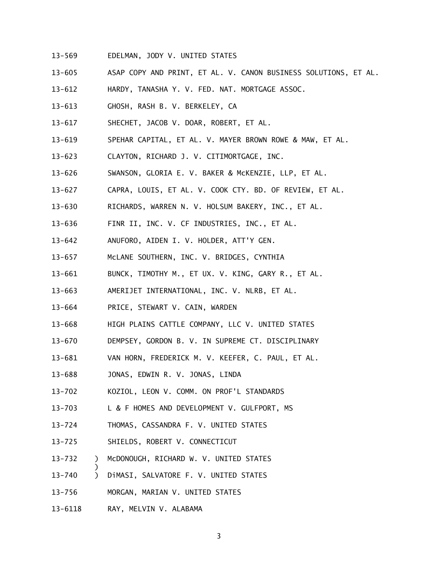- $13 569$ 13-569 EDELMAN, JODY V. UNITED STATES
- $13 605$ 13-605 ASAP COPY AND PRINT, ET AL. V. CANON BUSINESS SOLUTIONS, ET AL.
- $13 612$ HARDY, TANASHA Y. V. FED. NAT. MORTGAGE ASSOC.
- $13 613$ GHOSH, RASH B. V. BERKELEY, CA
- $13 617$ SHECHET, JACOB V. DOAR, ROBERT, ET AL.
- $13 619$ SPEHAR CAPITAL, ET AL. V. MAYER BROWN ROWE & MAW, ET AL.
- $13 623$ 13-623 CLAYTON, RICHARD J. V. CITIMORTGAGE, INC.
- $13 626$ SWANSON, GLORIA E. V. BAKER & McKENZIE, LLP, ET AL.
- $13 627$ 13-627 CAPRA, LOUIS, ET AL. V. COOK CTY. BD. OF REVIEW, ET AL.
- $13 630$ RICHARDS, WARREN N. V. HOLSUM BAKERY, INC., ET AL.
- $13 636$ FINR II, INC. V. CF INDUSTRIES, INC., ET AL.
- $13 642$ 13-642 ANUFORO, AIDEN I. V. HOLDER, ATT'Y GEN.
- $13 657$ McLANE SOUTHERN, INC. V. BRIDGES, CYNTHIA
- $13 661$ BUNCK, TIMOTHY M., ET UX. V. KING, GARY R., ET AL.
- $13 663$ AMERIJET INTERNATIONAL, INC. V. NLRB, ET AL.
- $13 664$ PRICE, STEWART V. CAIN, WARDEN
- $13 668$ HIGH PLAINS CATTLE COMPANY, LLC V. UNITED STATES
- $13 670$ DEMPSEY, GORDON B. V. IN SUPREME CT. DISCIPLINARY
- $13 681$ VAN HORN, FREDERICK M. V. KEEFER, C. PAUL, ET AL.
- $13 688$ JONAS, EDWIN R. V. JONAS, LINDA
- $13 702$ KOZIOL, LEON V. COMM. ON PROF'L STANDARDS
- $13 703$ L & F HOMES AND DEVELOPMENT V. GULFPORT, MS
- $13 724$ THOMAS, CASSANDRA F. V. UNITED STATES
- $13 725$ SHIELDS, ROBERT V. CONNECTICUT
- $13 732$ 13-732 ) McDONOUGH, RICHARD W. V. UNITED STATES
- $13 740$ 13-740 ) DiMASI, SALVATORE F. V. UNITED STATES
- $13 756$ 13-756 MORGAN, MARIAN V. UNITED STATES
- 13-6118 RAY, MELVIN V. ALABAMA

)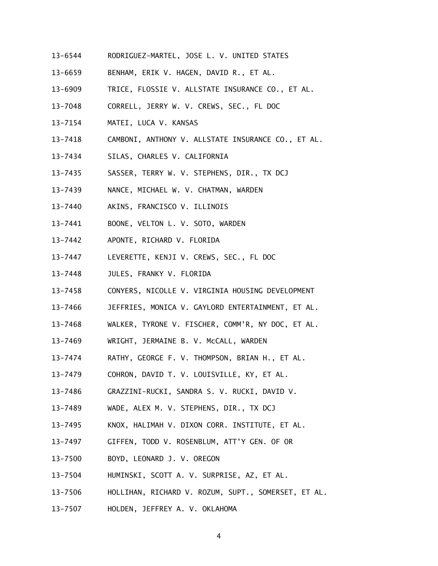- 13-6544 RODRIGUEZ-MARTEL, JOSE L. V. UNITED STATES
- 13-6659 BENHAM, ERIK V. HAGEN, DAVID R., ET AL.
- 13-6909 TRICE, FLOSSIE V. ALLSTATE INSURANCE CO., ET AL.
- 13-7048 CORRELL, JERRY W. V. CREWS, SEC., FL DOC
- 13-7154 MATEI, LUCA V. KANSAS
- 13-7418 CAMBONI, ANTHONY V. ALLSTATE INSURANCE CO., ET AL.
- 13-7434 SILAS, CHARLES V. CALIFORNIA
- 13-7435 SASSER, TERRY W. V. STEPHENS, DIR., TX DCJ
- 13-7439 NANCE, MICHAEL W. V. CHATMAN, WARDEN
- 13-7440 AKINS, FRANCISCO V. ILLINOIS
- 13-7441 BOONE, VELTON L. V. SOTO, WARDEN
- 13-7442 APONTE, RICHARD V. FLORIDA
- 13-7447 LEVERETTE, KENJI V. CREWS, SEC., FL DOC
- $13 7448$ JULES, FRANKY V. FLORIDA
- 13-7458 CONYERS, NICOLLE V. VIRGINIA HOUSING DEVELOPMENT
- 13-7466 JEFFRIES, MONICA V. GAYLORD ENTERTAINMENT, ET AL.
- 13-7468 WALKER, TYRONE V. FISCHER, COMM'R, NY DOC, ET AL.
- 13-7469 WRIGHT, JERMAINE B. V. McCALL, WARDEN
- 13-7474 RATHY, GEORGE F. V. THOMPSON, BRIAN H., ET AL.
- 13-7479 COHRON, DAVID T. V. LOUISVILLE, KY, ET AL.
- 13-7486 GRAZZINI-RUCKI, SANDRA S. V. RUCKI, DAVID V.
- 13-7489 WADE, ALEX M. V. STEPHENS, DIR., TX DCJ
- 13-7495 KNOX, HALIMAH V. DIXON CORR. INSTITUTE, ET AL.
- 13-7497 GIFFEN, TODD V. ROSENBLUM, ATT'Y GEN. OF OR
- 13-7500 BOYD, LEONARD J. V. OREGON
- 13-7504 HUMINSKI, SCOTT A. V. SURPRISE, AZ, ET AL.
- 13-7506 HOLLIHAN, RICHARD V. ROZUM, SUPT., SOMERSET, ET AL.
- 13-7507 HOLDEN, JEFFREY A. V. OKLAHOMA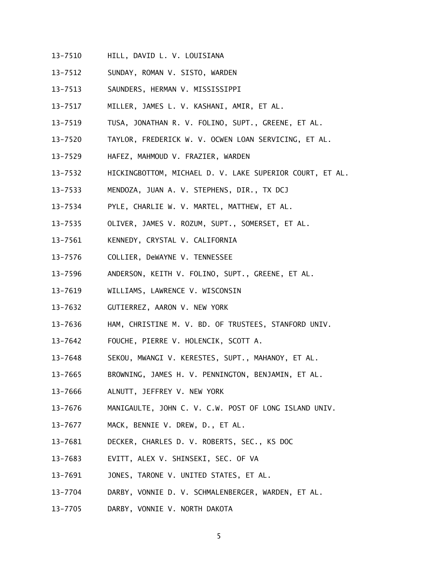- 13-7510 HILL, DAVID L. V. LOUISIANA
- 13-7512 SUNDAY, ROMAN V. SISTO, WARDEN
- 13-7513 SAUNDERS, HERMAN V. MISSISSIPPI
- 13-7517 MILLER, JAMES L. V. KASHANI, AMIR, ET AL.
- 13-7519 TUSA, JONATHAN R. V. FOLINO, SUPT., GREENE, ET AL.
- 13-7520 TAYLOR, FREDERICK W. V. OCWEN LOAN SERVICING, ET AL.
- 13-7529 HAFEZ, MAHMOUD V. FRAZIER, WARDEN
- 13-7532 HICKINGBOTTOM, MICHAEL D. V. LAKE SUPERIOR COURT, ET AL.
- 13-7533 MENDOZA, JUAN A. V. STEPHENS, DIR., TX DCJ
- 13-7534 PYLE, CHARLIE W. V. MARTEL, MATTHEW, ET AL.
- 13-7535 OLIVER, JAMES V. ROZUM, SUPT., SOMERSET, ET AL.
- 13-7561 KENNEDY, CRYSTAL V. CALIFORNIA
- 13-7576 COLLIER, DeWAYNE V. TENNESSEE
- 13-7596 ANDERSON, KEITH V. FOLINO, SUPT., GREENE, ET AL.
- 13-7619 WILLIAMS, LAWRENCE V. WISCONSIN
- 13-7632 GUTIERREZ, AARON V. NEW YORK
- 13-7636 HAM, CHRISTINE M. V. BD. OF TRUSTEES, STANFORD UNIV.
- 13-7642 FOUCHE, PIERRE V. HOLENCIK, SCOTT A.
- 13-7648 SEKOU, MWANGI V. KERESTES, SUPT., MAHANOY, ET AL.
- 13-7665 BROWNING, JAMES H. V. PENNINGTON, BENJAMIN, ET AL.
- 13-7666 ALNUTT, JEFFREY V. NEW YORK
- 13-7676 MANIGAULTE, JOHN C. V. C.W. POST OF LONG ISLAND UNIV.
- 13-7677 MACK, BENNIE V. DREW, D., ET AL.
- 13-7681 DECKER, CHARLES D. V. ROBERTS, SEC., KS DOC
- 13-7683 EVITT, ALEX V. SHINSEKI, SEC. OF VA
- 13-7691 JONES, TARONE V. UNITED STATES, ET AL.
- 13-7704 DARBY, VONNIE D. V. SCHMALENBERGER, WARDEN, ET AL.
- 13-7705 DARBY, VONNIE V. NORTH DAKOTA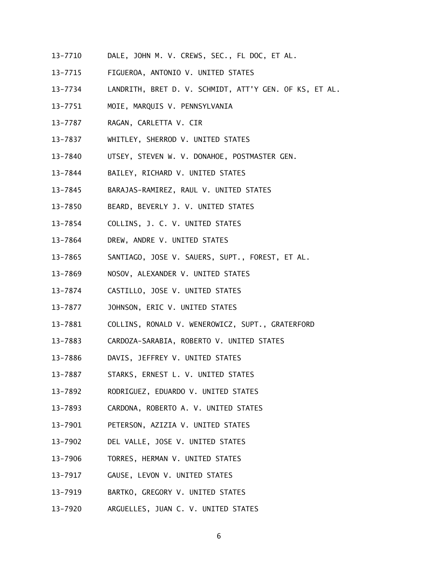- 13-7710 DALE, JOHN M. V. CREWS, SEC., FL DOC, ET AL.
- 13-7715 FIGUEROA, ANTONIO V. UNITED STATES
- 13-7734 LANDRITH, BRET D. V. SCHMIDT, ATT'Y GEN. OF KS, ET AL.
- 13-7751 MOIE, MARQUIS V. PENNSYLVANIA
- 13-7787 RAGAN, CARLETTA V. CIR
- 13-7837 WHITLEY, SHERROD V. UNITED STATES
- 13-7840 UTSEY, STEVEN W. V. DONAHOE, POSTMASTER GEN.
- 13-7844 BAILEY, RICHARD V. UNITED STATES
- 13-7845 BARAJAS-RAMIREZ, RAUL V. UNITED STATES
- 13-7850 BEARD, BEVERLY J. V. UNITED STATES
- 13-7854 COLLINS, J. C. V. UNITED STATES
- 13-7864 DREW, ANDRE V. UNITED STATES
- 13-7865 SANTIAGO, JOSE V. SAUERS, SUPT., FOREST, ET AL.
- 13-7869 NOSOV, ALEXANDER V. UNITED STATES
- 13-7874 CASTILLO, JOSE V. UNITED STATES
- 13-7877 JOHNSON, ERIC V. UNITED STATES
- 13-7881 COLLINS, RONALD V. WENEROWICZ, SUPT., GRATERFORD
- 13-7883 CARDOZA-SARABIA, ROBERTO V. UNITED STATES
- 13-7886 DAVIS, JEFFREY V. UNITED STATES
- 13-7887 STARKS, ERNEST L. V. UNITED STATES
- 13-7892 RODRIGUEZ, EDUARDO V. UNITED STATES
- 13-7893 CARDONA, ROBERTO A. V. UNITED STATES
- 13-7901 PETERSON, AZIZIA V. UNITED STATES
- 13-7902 DEL VALLE, JOSE V. UNITED STATES
- 13-7906 TORRES, HERMAN V. UNITED STATES
- 13-7917 GAUSE, LEVON V. UNITED STATES
- 13-7919 BARTKO, GREGORY V. UNITED STATES
- 13-7920 ARGUELLES, JUAN C. V. UNITED STATES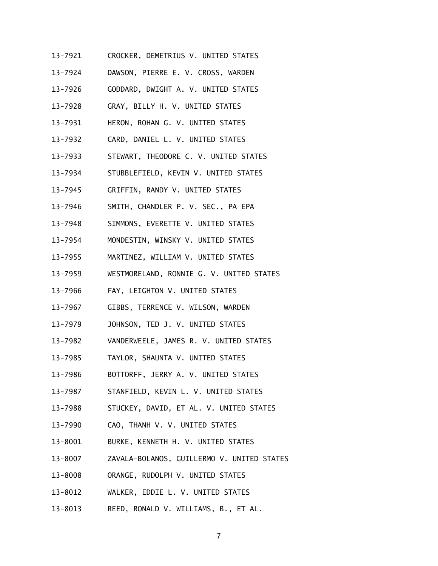- 13-7921 CROCKER, DEMETRIUS V. UNITED STATES
- 13-7924 DAWSON, PIERRE E. V. CROSS, WARDEN
- 13-7926 GODDARD, DWIGHT A. V. UNITED STATES
- 13-7928 GRAY, BILLY H. V. UNITED STATES
- 13-7931 HERON, ROHAN G. V. UNITED STATES
- 13-7932 CARD, DANIEL L. V. UNITED STATES
- 13-7933 STEWART, THEODORE C. V. UNITED STATES
- 13-7934 STUBBLEFIELD, KEVIN V. UNITED STATES
- 13-7945 GRIFFIN, RANDY V. UNITED STATES
- 13-7946 SMITH, CHANDLER P. V. SEC., PA EPA
- 13-7948 SIMMONS, EVERETTE V. UNITED STATES
- 13-7954 MONDESTIN, WINSKY V. UNITED STATES
- 13-7955 MARTINEZ, WILLIAM V. UNITED STATES
- 13-7959 WESTMORELAND, RONNIE G. V. UNITED STATES
- 13-7966 FAY, LEIGHTON V. UNITED STATES
- 13-7967 GIBBS, TERRENCE V. WILSON, WARDEN
- 13-7979 JOHNSON, TED J. V. UNITED STATES
- 13-7982 VANDERWEELE, JAMES R. V. UNITED STATES
- 13-7985 TAYLOR, SHAUNTA V. UNITED STATES
- 13-7986 BOTTORFF, JERRY A. V. UNITED STATES
- 13-7987 STANFIELD, KEVIN L. V. UNITED STATES
- 13-7988 STUCKEY, DAVID, ET AL. V. UNITED STATES
- 13-7990 CAO, THANH V. V. UNITED STATES
- 13-8001 BURKE, KENNETH H. V. UNITED STATES
- 13-8007 ZAVALA-BOLANOS, GUILLERMO V. UNITED STATES
- 13-8008 ORANGE, RUDOLPH V. UNITED STATES
- 13-8012 WALKER, EDDIE L. V. UNITED STATES
- 13-8013 REED, RONALD V. WILLIAMS, B., ET AL.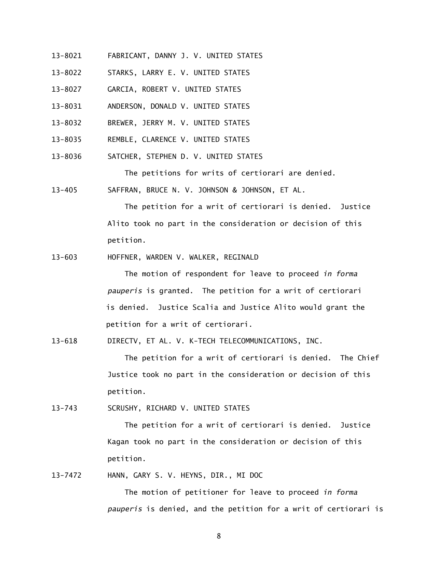- 13-8021 FABRICANT, DANNY J. V. UNITED STATES
- 13-8022 STARKS, LARRY E. V. UNITED STATES
- 13-8027 GARCIA, ROBERT V. UNITED STATES
- 13-8031 ANDERSON, DONALD V. UNITED STATES
- 13-8032 BREWER, JERRY M. V. UNITED STATES
- 13-8035 REMBLE, CLARENCE V. UNITED STATES
- 13-8036 SATCHER, STEPHEN D. V. UNITED STATES

The petitions for writs of certiorari are denied.

 $13 - 405$ SAFFRAN, BRUCE N. V. JOHNSON & JOHNSON, ET AL.

> The petition for a writ of certiorari is denied. Justice Alito took no part in the consideration or decision of this petition.

 $13 - 603$ 13-603 HOFFNER, WARDEN V. WALKER, REGINALD

> The motion of respondent for leave to proceed *in forma pauperis* is granted. The petition for a writ of certiorari is denied. Justice Scalia and Justice Alito would grant the petition for a writ of certiorari.

 $13 - 618$ DIRECTV, ET AL. V. K-TECH TELECOMMUNICATIONS, INC.

> The petition for a writ of certiorari is denied. The Chief Justice took no part in the consideration or decision of this petition.

 $13 - 743$ SCRUSHY, RICHARD V. UNITED STATES

> The petition for a writ of certiorari is denied. Justice Kagan took no part in the consideration or decision of this petition.

13-7472 HANN, GARY S. V. HEYNS, DIR., MI DOC

 The motion of petitioner for leave to proceed *in forma pauperis* is denied, and the petition for a writ of certiorari is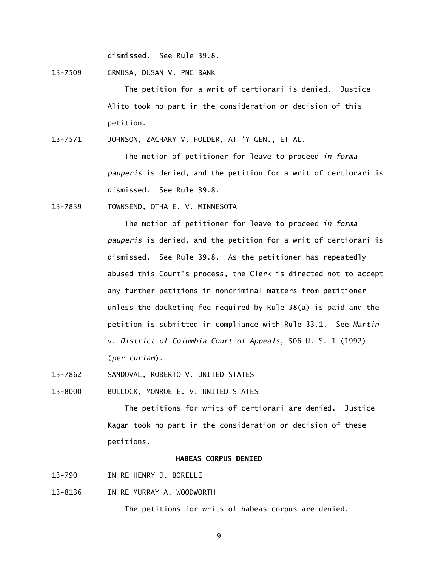dismissed. See Rule 39.8.

13-7509 GRMUSA, DUSAN V. PNC BANK

 The petition for a writ of certiorari is denied. Justice Alito took no part in the consideration or decision of this petition.

13-7571 JOHNSON, ZACHARY V. HOLDER, ATT'Y GEN., ET AL.

 The motion of petitioner for leave to proceed *in forma pauperis* is denied, and the petition for a writ of certiorari is dismissed. See Rule 39.8.

13-7839 TOWNSEND, OTHA E. V. MINNESOTA

 The motion of petitioner for leave to proceed *in forma pauperis* is denied, and the petition for a writ of certiorari is dismissed. See Rule 39.8. As the petitioner has repeatedly abused this Court's process, the Clerk is directed not to accept any further petitions in noncriminal matters from petitioner unless the docketing fee required by Rule 38(a) is paid and the petition is submitted in compliance with Rule 33.1. See *Martin*  v. *District of Columbia Court of Appeals*, 506 U. S. 1 (1992) (*per curiam*).

13-7862 SANDOVAL, ROBERTO V. UNITED STATES

13-8000 BULLOCK, MONROE E. V. UNITED STATES

 The petitions for writs of certiorari are denied. Justice Kagan took no part in the consideration or decision of these petitions.

#### **HABEAS CORPUS DENIED**

- $13 790$ IN RE HENRY J. BORELLI
- 13-8136 IN RE MURRAY A. WOODWORTH

The petitions for writs of habeas corpus are denied.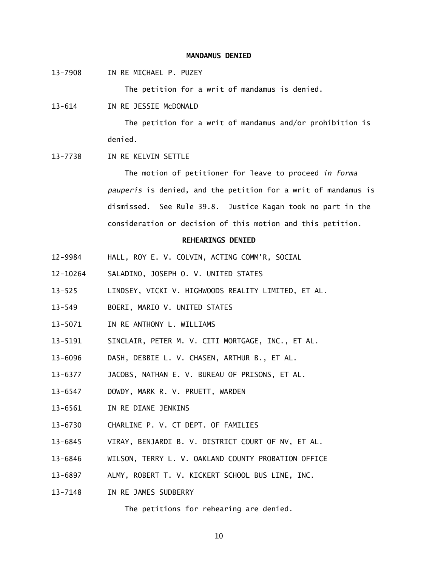#### **MANDAMUS DENIED**

13-7908 IN RE MICHAEL P. PUZEY

The petition for a writ of mandamus is denied.

 $13 - 614$ IN RE JESSIE McDONALD

> The petition for a writ of mandamus and/or prohibition is denied.

13-7738 IN RE KELVIN SETTLE

 The motion of petitioner for leave to proceed *in forma pauperis* is denied, and the petition for a writ of mandamus is dismissed. See Rule 39.8. Justice Kagan took no part in the consideration or decision of this motion and this petition.

### **REHEARINGS DENIED**

- 12-9984 HALL, ROY E. V. COLVIN, ACTING COMM'R, SOCIAL
- $12 10264$ SALADINO, JOSEPH O. V. UNITED STATES
- $13 525$ LINDSEY, VICKI V. HIGHWOODS REALITY LIMITED, ET AL.
- $13 549$ 13-549 BOERI, MARIO V. UNITED STATES
- 13-5071 IN RE ANTHONY L. WILLIAMS
- 13-5191 SINCLAIR, PETER M. V. CITI MORTGAGE, INC., ET AL.
- 13-6096 DASH, DEBBIE L. V. CHASEN, ARTHUR B., ET AL.
- 13-6377 JACOBS, NATHAN E. V. BUREAU OF PRISONS, ET AL.
- 13-6547 DOWDY, MARK R. V. PRUETT, WARDEN
- 13-6561 IN RE DIANE JENKINS
- 13-6730 CHARLINE P. V. CT DEPT. OF FAMILIES
- 13-6845 VIRAY, BENJARDI B. V. DISTRICT COURT OF NV, ET AL.
- 13-6846 WILSON, TERRY L. V. OAKLAND COUNTY PROBATION OFFICE
- 13-6897 ALMY, ROBERT T. V. KICKERT SCHOOL BUS LINE, INC.
- 13-7148 IN RE JAMES SUDBERRY

The petitions for rehearing are denied.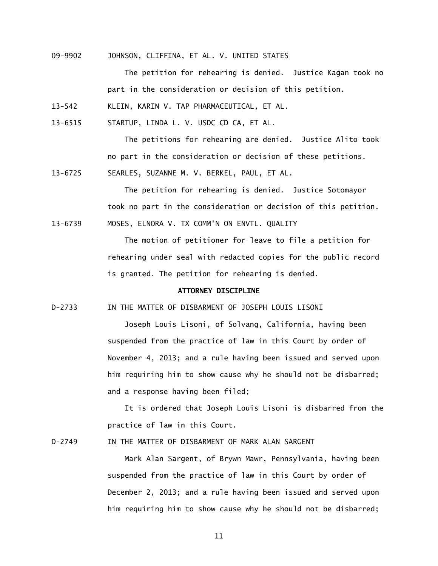09-9902 JOHNSON, CLIFFINA, ET AL. V. UNITED STATES

 The petition for rehearing is denied. Justice Kagan took no part in the consideration or decision of this petition.

 $13 - 542$ KLEIN, KARIN V. TAP PHARMACEUTICAL, ET AL.

13-6515 STARTUP, LINDA L. V. USDC CD CA, ET AL.

 The petitions for rehearing are denied. Justice Alito took no part in the consideration or decision of these petitions.

13-6725 SEARLES, SUZANNE M. V. BERKEL, PAUL, ET AL.

 The petition for rehearing is denied. Justice Sotomayor took no part in the consideration or decision of this petition. 13-6739 MOSES, ELNORA V. TX COMM'N ON ENVTL. QUALITY

> The motion of petitioner for leave to file a petition for rehearing under seal with redacted copies for the public record is granted. The petition for rehearing is denied.

# **ATTORNEY DISCIPLINE**

 $D-2733$ IN THE MATTER OF DISBARMENT OF JOSEPH LOUIS LISONI

> Joseph Louis Lisoni, of Solvang, California, having been suspended from the practice of law in this Court by order of November 4, 2013; and a rule having been issued and served upon him requiring him to show cause why he should not be disbarred; and a response having been filed;

 It is ordered that Joseph Louis Lisoni is disbarred from the practice of law in this Court.

D-2749 IN THE MATTER OF DISBARMENT OF MARK ALAN SARGENT

 Mark Alan Sargent, of Brywn Mawr, Pennsylvania, having been suspended from the practice of law in this Court by order of December 2, 2013; and a rule having been issued and served upon him requiring him to show cause why he should not be disbarred;